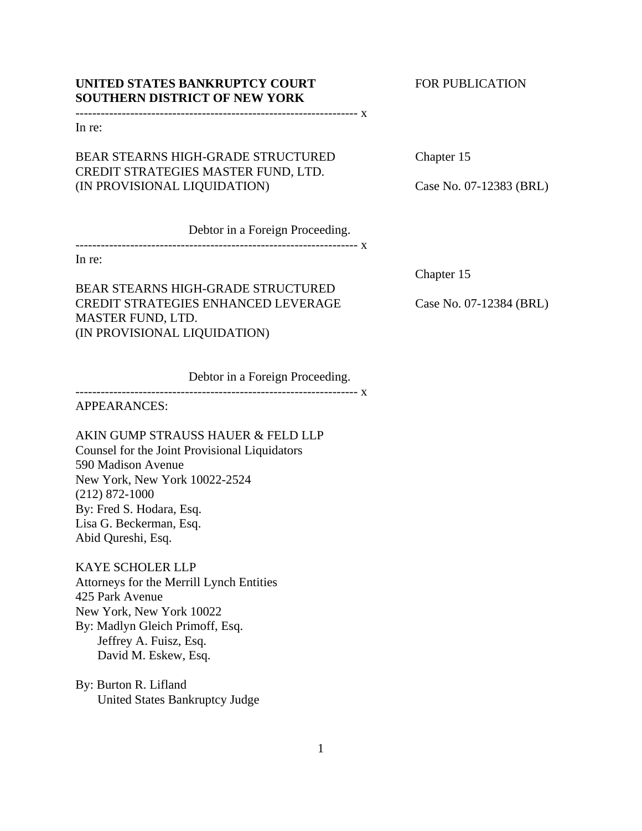# **UNITED STATES BANKRUPTCY COURT FOR PUBLICATION SOUTHERN DISTRICT OF NEW YORK**

------------------------------------------------------------------- x

In re:

# BEAR STEARNS HIGH-GRADE STRUCTURED Chapter 15 CREDIT STRATEGIES MASTER FUND, LTD. (IN PROVISIONAL LIQUIDATION) Case No. 07-12383 (BRL)

Debtor in a Foreign Proceeding.

------------------------------------------------------------------- x

In re:

BEAR STEARNS HIGH-GRADE STRUCTURED CREDIT STRATEGIES ENHANCED LEVERAGE Case No. 07-12384 (BRL) MASTER FUND, LTD. (IN PROVISIONAL LIQUIDATION)

Chapter 15

Debtor in a Foreign Proceeding. ------------------------------------------------------------------- x

APPEARANCES:

AKIN GUMP STRAUSS HAUER & FELD LLP Counsel for the Joint Provisional Liquidators 590 Madison Avenue New York, New York 10022-2524 (212) 872-1000 By: Fred S. Hodara, Esq. Lisa G. Beckerman, Esq. Abid Qureshi, Esq.

KAYE SCHOLER LLP Attorneys for the Merrill Lynch Entities 425 Park Avenue New York, New York 10022 By: Madlyn Gleich Primoff, Esq. Jeffrey A. Fuisz, Esq. David M. Eskew, Esq.

By: Burton R. Lifland United States Bankruptcy Judge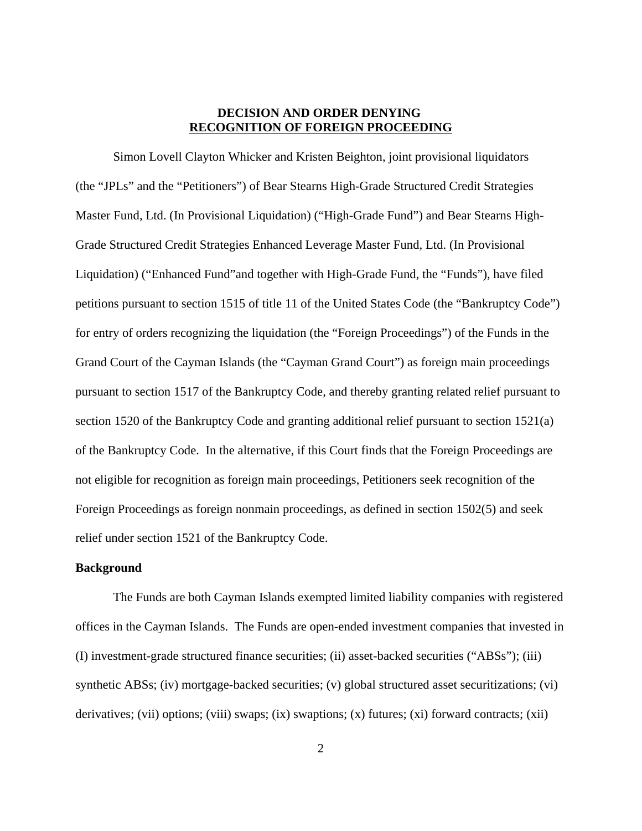## **DECISION AND ORDER DENYING RECOGNITION OF FOREIGN PROCEEDING**

Simon Lovell Clayton Whicker and Kristen Beighton, joint provisional liquidators (the "JPLs" and the "Petitioners") of Bear Stearns High-Grade Structured Credit Strategies Master Fund, Ltd. (In Provisional Liquidation) ("High-Grade Fund") and Bear Stearns High-Grade Structured Credit Strategies Enhanced Leverage Master Fund, Ltd. (In Provisional Liquidation) ("Enhanced Fund"and together with High-Grade Fund, the "Funds"), have filed petitions pursuant to section 1515 of title 11 of the United States Code (the "Bankruptcy Code") for entry of orders recognizing the liquidation (the "Foreign Proceedings") of the Funds in the Grand Court of the Cayman Islands (the "Cayman Grand Court") as foreign main proceedings pursuant to section 1517 of the Bankruptcy Code, and thereby granting related relief pursuant to section 1520 of the Bankruptcy Code and granting additional relief pursuant to section 1521(a) of the Bankruptcy Code. In the alternative, if this Court finds that the Foreign Proceedings are not eligible for recognition as foreign main proceedings, Petitioners seek recognition of the Foreign Proceedings as foreign nonmain proceedings, as defined in section 1502(5) and seek relief under section 1521 of the Bankruptcy Code.

## **Background**

The Funds are both Cayman Islands exempted limited liability companies with registered offices in the Cayman Islands. The Funds are open-ended investment companies that invested in (I) investment-grade structured finance securities; (ii) asset-backed securities ("ABSs"); (iii) synthetic ABSs; (iv) mortgage-backed securities; (v) global structured asset securitizations; (vi) derivatives; (vii) options; (viii) swaps; (ix) swaptions; (x) futures; (xi) forward contracts; (xii)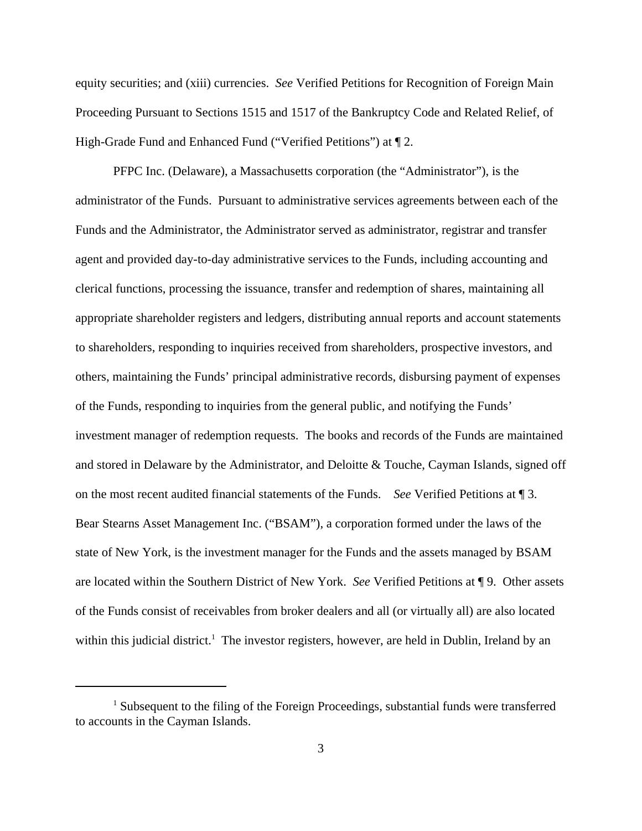equity securities; and (xiii) currencies. *See* Verified Petitions for Recognition of Foreign Main Proceeding Pursuant to Sections 1515 and 1517 of the Bankruptcy Code and Related Relief, of High-Grade Fund and Enhanced Fund ("Verified Petitions") at ¶ 2.

PFPC Inc. (Delaware), a Massachusetts corporation (the "Administrator"), is the administrator of the Funds. Pursuant to administrative services agreements between each of the Funds and the Administrator, the Administrator served as administrator, registrar and transfer agent and provided day-to-day administrative services to the Funds, including accounting and clerical functions, processing the issuance, transfer and redemption of shares, maintaining all appropriate shareholder registers and ledgers, distributing annual reports and account statements to shareholders, responding to inquiries received from shareholders, prospective investors, and others, maintaining the Funds' principal administrative records, disbursing payment of expenses of the Funds, responding to inquiries from the general public, and notifying the Funds' investment manager of redemption requests. The books and records of the Funds are maintained and stored in Delaware by the Administrator, and Deloitte & Touche, Cayman Islands, signed off on the most recent audited financial statements of the Funds. *See* Verified Petitions at ¶ 3. Bear Stearns Asset Management Inc. ("BSAM"), a corporation formed under the laws of the state of New York, is the investment manager for the Funds and the assets managed by BSAM are located within the Southern District of New York. *See* Verified Petitions at ¶ 9. Other assets of the Funds consist of receivables from broker dealers and all (or virtually all) are also located within this judicial district.<sup>1</sup> The investor registers, however, are held in Dublin, Ireland by an

<sup>&</sup>lt;sup>1</sup> Subsequent to the filing of the Foreign Proceedings, substantial funds were transferred to accounts in the Cayman Islands.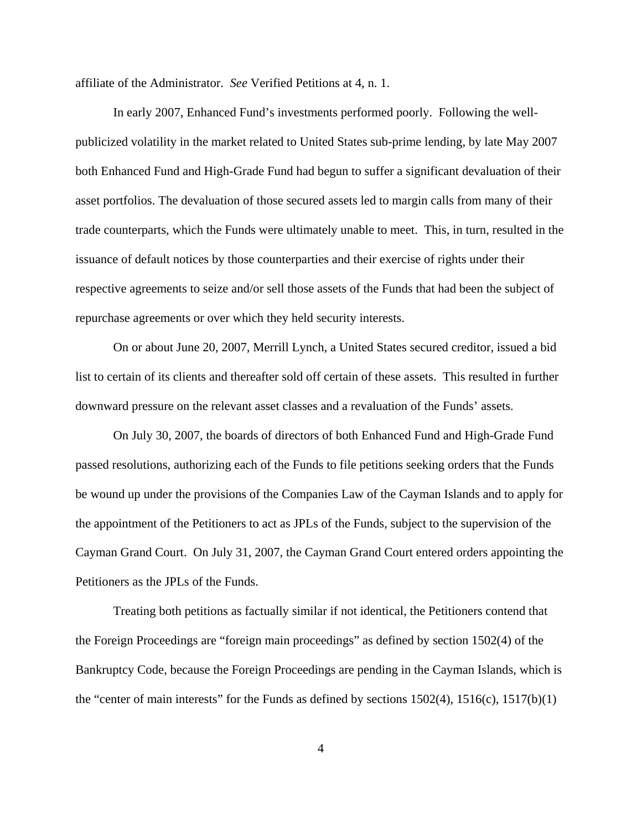affiliate of the Administrator. *See* Verified Petitions at 4, n. 1.

In early 2007, Enhanced Fund's investments performed poorly. Following the wellpublicized volatility in the market related to United States sub-prime lending, by late May 2007 both Enhanced Fund and High-Grade Fund had begun to suffer a significant devaluation of their asset portfolios. The devaluation of those secured assets led to margin calls from many of their trade counterparts, which the Funds were ultimately unable to meet. This, in turn, resulted in the issuance of default notices by those counterparties and their exercise of rights under their respective agreements to seize and/or sell those assets of the Funds that had been the subject of repurchase agreements or over which they held security interests.

On or about June 20, 2007, Merrill Lynch, a United States secured creditor, issued a bid list to certain of its clients and thereafter sold off certain of these assets. This resulted in further downward pressure on the relevant asset classes and a revaluation of the Funds' assets.

On July 30, 2007, the boards of directors of both Enhanced Fund and High-Grade Fund passed resolutions, authorizing each of the Funds to file petitions seeking orders that the Funds be wound up under the provisions of the Companies Law of the Cayman Islands and to apply for the appointment of the Petitioners to act as JPLs of the Funds, subject to the supervision of the Cayman Grand Court. On July 31, 2007, the Cayman Grand Court entered orders appointing the Petitioners as the JPLs of the Funds.

Treating both petitions as factually similar if not identical, the Petitioners contend that the Foreign Proceedings are "foreign main proceedings" as defined by section 1502(4) of the Bankruptcy Code, because the Foreign Proceedings are pending in the Cayman Islands, which is the "center of main interests" for the Funds as defined by sections  $1502(4)$ ,  $1516(c)$ ,  $1517(b)(1)$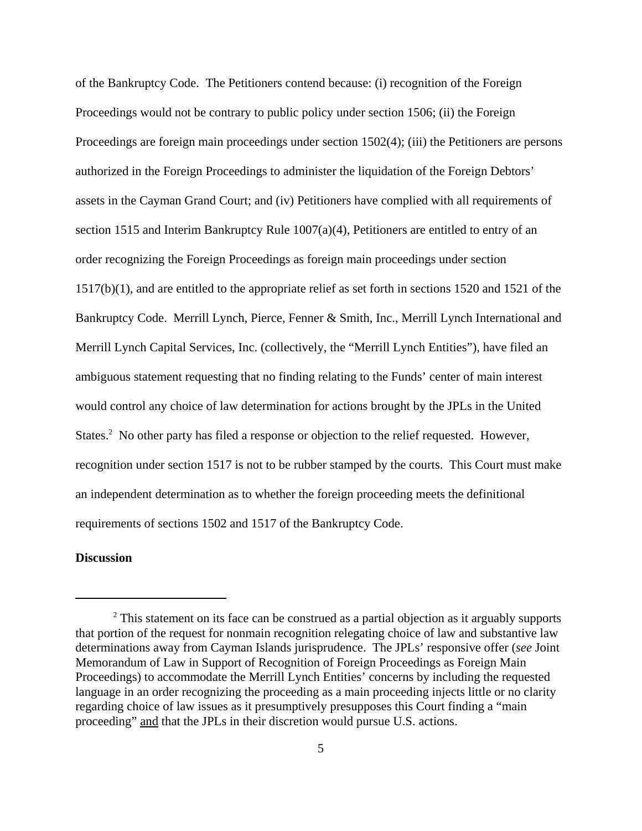of the Bankruptcy Code. The Petitioners contend because: (i) recognition of the Foreign Proceedings would not be contrary to public policy under section 1506; (ii) the Foreign Proceedings are foreign main proceedings under section 1502(4); (iii) the Petitioners are persons authorized in the Foreign Proceedings to administer the liquidation of the Foreign Debtors' assets in the Cayman Grand Court; and (iv) Petitioners have complied with all requirements of section 1515 and Interim Bankruptcy Rule 1007(a)(4), Petitioners are entitled to entry of an order recognizing the Foreign Proceedings as foreign main proceedings under section 1517(b)(1), and are entitled to the appropriate relief as set forth in sections 1520 and 1521 of the Bankruptcy Code. Merrill Lynch, Pierce, Fenner & Smith, Inc., Merrill Lynch International and Merrill Lynch Capital Services, Inc. (collectively, the "Merrill Lynch Entities"), have filed an ambiguous statement requesting that no finding relating to the Funds' center of main interest would control any choice of law determination for actions brought by the JPLs in the United States.<sup>2</sup> No other party has filed a response or objection to the relief requested. However, recognition under section 1517 is not to be rubber stamped by the courts. This Court must make an independent determination as to whether the foreign proceeding meets the definitional requirements of sections 1502 and 1517 of the Bankruptcy Code.

# **Discussion**

 $2$  This statement on its face can be construed as a partial objection as it arguably supports that portion of the request for nonmain recognition relegating choice of law and substantive law determinations away from Cayman Islands jurisprudence. The JPLs' responsive offer (*see* Joint Memorandum of Law in Support of Recognition of Foreign Proceedings as Foreign Main Proceedings) to accommodate the Merrill Lynch Entities' concerns by including the requested language in an order recognizing the proceeding as a main proceeding injects little or no clarity regarding choice of law issues as it presumptively presupposes this Court finding a "main proceeding" and that the JPLs in their discretion would pursue U.S. actions.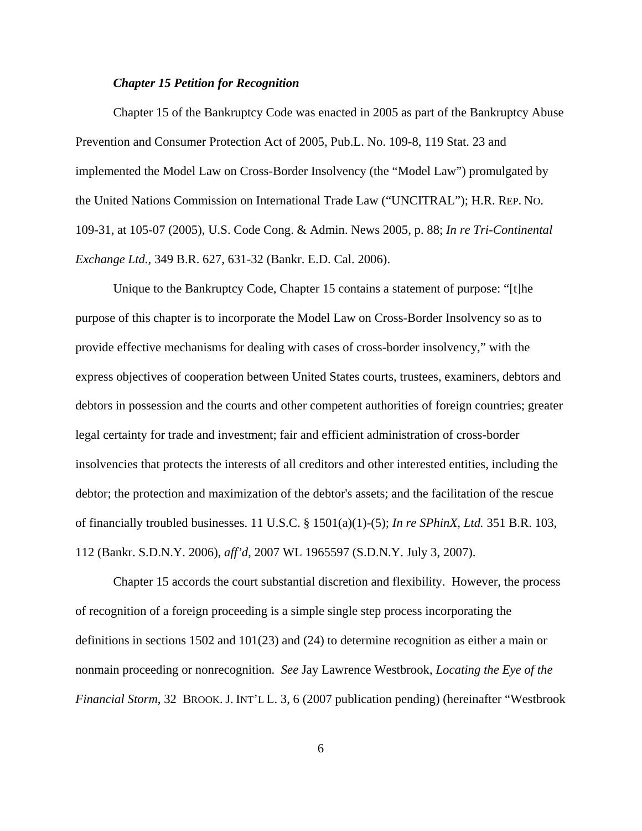#### *Chapter 15 Petition for Recognition*

Chapter 15 of the Bankruptcy Code was enacted in 2005 as part of the Bankruptcy Abuse Prevention and Consumer Protection Act of 2005, Pub.L. No. 109-8, 119 Stat. 23 and implemented the Model Law on Cross-Border Insolvency (the "Model Law") promulgated by the United Nations Commission on International Trade Law ("UNCITRAL"); H.R. REP. NO. 109-31, at 105-07 (2005), U.S. Code Cong. & Admin. News 2005, p. 88; *In re Tri-Continental Exchange Ltd.,* 349 B.R. 627, 631-32 (Bankr. E.D. Cal. 2006).

Unique to the Bankruptcy Code, Chapter 15 contains a statement of purpose: "[t]he purpose of this chapter is to incorporate the Model Law on Cross-Border Insolvency so as to provide effective mechanisms for dealing with cases of cross-border insolvency," with the express objectives of cooperation between United States courts, trustees, examiners, debtors and debtors in possession and the courts and other competent authorities of foreign countries; greater legal certainty for trade and investment; fair and efficient administration of cross-border insolvencies that protects the interests of all creditors and other interested entities, including the debtor; the protection and maximization of the debtor's assets; and the facilitation of the rescue of financially troubled businesses. 11 U.S.C. § 1501(a)(1)-(5); *In re SPhinX, Ltd.* 351 B.R. 103, 112 (Bankr. S.D.N.Y. 2006), *aff'd*, 2007 WL 1965597 (S.D.N.Y. July 3, 2007).

Chapter 15 accords the court substantial discretion and flexibility. However, the process of recognition of a foreign proceeding is a simple single step process incorporating the definitions in sections 1502 and 101(23) and (24) to determine recognition as either a main or nonmain proceeding or nonrecognition. *See* Jay Lawrence Westbrook, *Locating the Eye of the Financial Storm*, 32 BROOK. J. INT'L L. 3, 6 (2007 publication pending) (hereinafter "Westbrook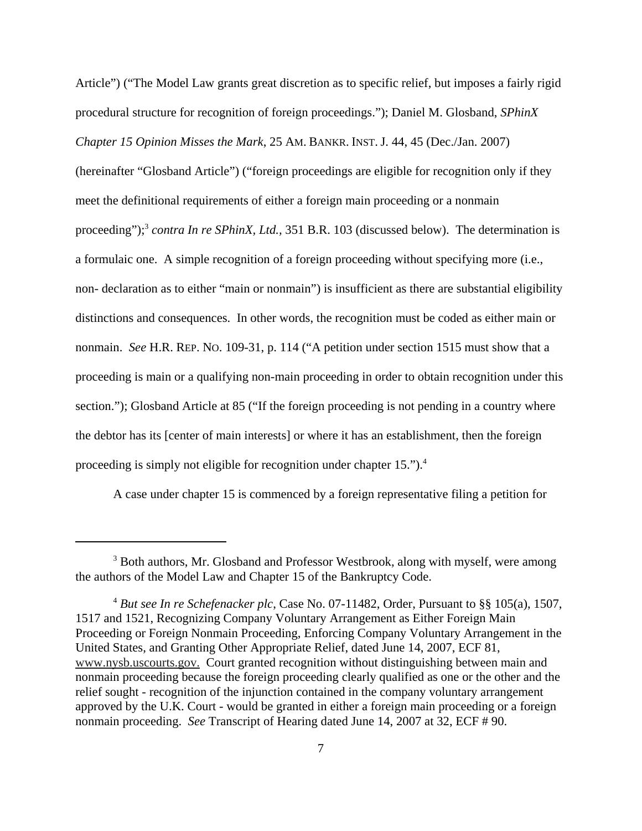Article") ("The Model Law grants great discretion as to specific relief, but imposes a fairly rigid procedural structure for recognition of foreign proceedings."); Daniel M. Glosband, *SPhinX Chapter 15 Opinion Misses the Mark*, 25 AM. BANKR. INST. J. 44, 45 (Dec./Jan. 2007) (hereinafter "Glosband Article") ("foreign proceedings are eligible for recognition only if they meet the definitional requirements of either a foreign main proceeding or a nonmain proceeding");<sup>3</sup> *contra In re SPhinX, Ltd.,* 351 B.R. 103 (discussed below). The determination is a formulaic one. A simple recognition of a foreign proceeding without specifying more (i.e., non- declaration as to either "main or nonmain") is insufficient as there are substantial eligibility distinctions and consequences. In other words, the recognition must be coded as either main or nonmain. *See* H.R. REP. NO. 109-31, p. 114 ("A petition under section 1515 must show that a proceeding is main or a qualifying non-main proceeding in order to obtain recognition under this section."); Glosband Article at 85 ("If the foreign proceeding is not pending in a country where the debtor has its [center of main interests] or where it has an establishment, then the foreign proceeding is simply not eligible for recognition under chapter 15.").<sup>4</sup>

A case under chapter 15 is commenced by a foreign representative filing a petition for

<sup>&</sup>lt;sup>3</sup> Both authors, Mr. Glosband and Professor Westbrook, along with myself, were among the authors of the Model Law and Chapter 15 of the Bankruptcy Code.

<sup>4</sup>  *But see In re Schefenacker plc*, Case No. 07-11482, Order, Pursuant to §§ 105(a), 1507, 1517 and 1521, Recognizing Company Voluntary Arrangement as Either Foreign Main Proceeding or Foreign Nonmain Proceeding, Enforcing Company Voluntary Arrangement in the United States, and Granting Other Appropriate Relief, dated June 14, 2007, ECF 81, www.nysb.uscourts.gov. Court granted recognition without distinguishing between main and nonmain proceeding because the foreign proceeding clearly qualified as one or the other and the relief sought - recognition of the injunction contained in the company voluntary arrangement approved by the U.K. Court - would be granted in either a foreign main proceeding or a foreign nonmain proceeding. *See* Transcript of Hearing dated June 14, 2007 at 32, ECF # 90.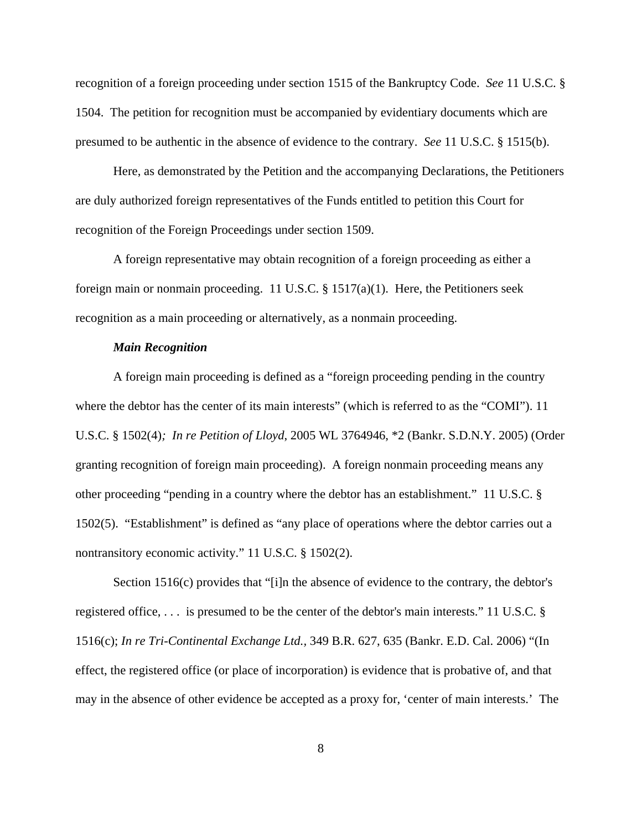recognition of a foreign proceeding under section 1515 of the Bankruptcy Code. *See* 11 U.S.C. § 1504. The petition for recognition must be accompanied by evidentiary documents which are presumed to be authentic in the absence of evidence to the contrary. *See* 11 U.S.C. § 1515(b).

Here, as demonstrated by the Petition and the accompanying Declarations, the Petitioners are duly authorized foreign representatives of the Funds entitled to petition this Court for recognition of the Foreign Proceedings under section 1509.

A foreign representative may obtain recognition of a foreign proceeding as either a foreign main or nonmain proceeding. 11 U.S.C. § 1517(a)(1). Here, the Petitioners seek recognition as a main proceeding or alternatively, as a nonmain proceeding.

### *Main Recognition*

A foreign main proceeding is defined as a "foreign proceeding pending in the country where the debtor has the center of its main interests" (which is referred to as the "COMI"). 11 U.S.C. § 1502(4)*; In re Petition of Lloyd*, 2005 WL 3764946, \*2 (Bankr. S.D.N.Y. 2005) (Order granting recognition of foreign main proceeding). A foreign nonmain proceeding means any other proceeding "pending in a country where the debtor has an establishment." 11 U.S.C. § 1502(5). "Establishment" is defined as "any place of operations where the debtor carries out a nontransitory economic activity." 11 U.S.C. § 1502(2).

Section 1516(c) provides that "[i]n the absence of evidence to the contrary, the debtor's registered office, . . . is presumed to be the center of the debtor's main interests." 11 U.S.C. § 1516(c); *In re Tri-Continental Exchange Ltd.,* 349 B.R. 627, 635 (Bankr. E.D. Cal. 2006) "(In effect, the registered office (or place of incorporation) is evidence that is probative of, and that may in the absence of other evidence be accepted as a proxy for, 'center of main interests.' The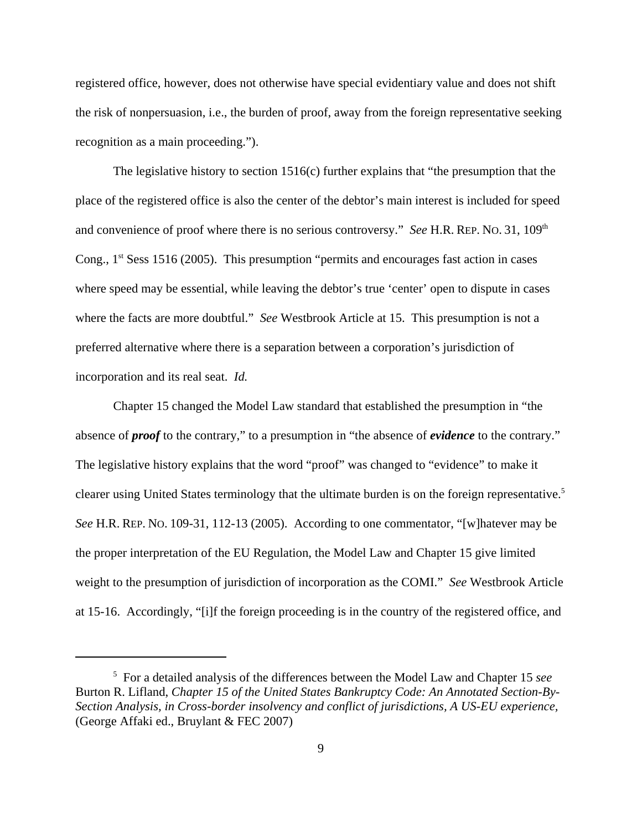registered office, however, does not otherwise have special evidentiary value and does not shift the risk of nonpersuasion, i.e., the burden of proof, away from the foreign representative seeking recognition as a main proceeding.").

The legislative history to section 1516(c) further explains that "the presumption that the place of the registered office is also the center of the debtor's main interest is included for speed and convenience of proof where there is no serious controversy." *See* H.R. REP. No. 31, 109<sup>th</sup> Cong., 1<sup>st</sup> Sess 1516 (2005). This presumption "permits and encourages fast action in cases where speed may be essential, while leaving the debtor's true 'center' open to dispute in cases where the facts are more doubtful." *See* Westbrook Article at 15. This presumption is not a preferred alternative where there is a separation between a corporation's jurisdiction of incorporation and its real seat. *Id.*

Chapter 15 changed the Model Law standard that established the presumption in "the absence of *proof* to the contrary," to a presumption in "the absence of *evidence* to the contrary." The legislative history explains that the word "proof" was changed to "evidence" to make it clearer using United States terminology that the ultimate burden is on the foreign representative.<sup>5</sup> *See* H.R. REP. NO. 109-31, 112-13 (2005). According to one commentator, "[w]hatever may be the proper interpretation of the EU Regulation, the Model Law and Chapter 15 give limited weight to the presumption of jurisdiction of incorporation as the COMI." *See* Westbrook Article at 15-16. Accordingly, "[i]f the foreign proceeding is in the country of the registered office, and

<sup>5</sup> For a detailed analysis of the differences between the Model Law and Chapter 15 *see* Burton R. Lifland, *Chapter 15 of the United States Bankruptcy Code: An Annotated Section-By-Section Analysis, in Cross-border insolvency and conflict of jurisdictions, A US-EU experience,* (George Affaki ed., Bruylant & FEC 2007)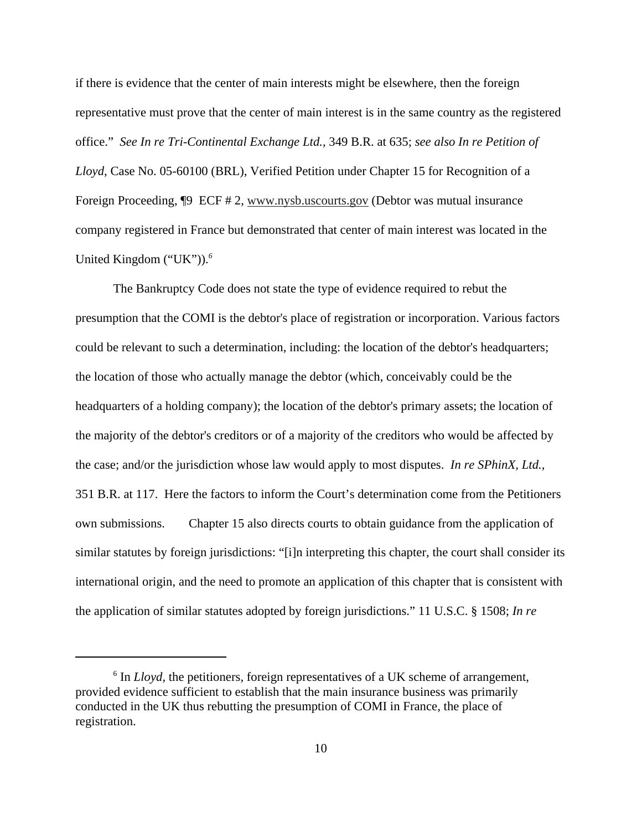if there is evidence that the center of main interests might be elsewhere, then the foreign representative must prove that the center of main interest is in the same country as the registered office." *See In re Tri-Continental Exchange Ltd.,* 349 B.R. at 635; *see also In re Petition of Lloyd*, Case No. 05-60100 (BRL), Verified Petition under Chapter 15 for Recognition of a Foreign Proceeding, ¶9 ECF # 2, www.nysb.uscourts.gov (Debtor was mutual insurance company registered in France but demonstrated that center of main interest was located in the United Kingdom ("UK")).*<sup>6</sup>*

 The Bankruptcy Code does not state the type of evidence required to rebut the presumption that the COMI is the debtor's place of registration or incorporation. Various factors could be relevant to such a determination, including: the location of the debtor's headquarters; the location of those who actually manage the debtor (which, conceivably could be the headquarters of a holding company); the location of the debtor's primary assets; the location of the majority of the debtor's creditors or of a majority of the creditors who would be affected by the case; and/or the jurisdiction whose law would apply to most disputes. *In re SPhinX, Ltd.,* 351 B.R. at 117. Here the factors to inform the Court's determination come from the Petitioners own submissions. Chapter 15 also directs courts to obtain guidance from the application of similar statutes by foreign jurisdictions: "[i]n interpreting this chapter, the court shall consider its international origin, and the need to promote an application of this chapter that is consistent with the application of similar statutes adopted by foreign jurisdictions." 11 U.S.C. § 1508; *In re*

<sup>&</sup>lt;sup>6</sup> In *Lloyd*, the petitioners, foreign representatives of a UK scheme of arrangement, provided evidence sufficient to establish that the main insurance business was primarily conducted in the UK thus rebutting the presumption of COMI in France, the place of registration.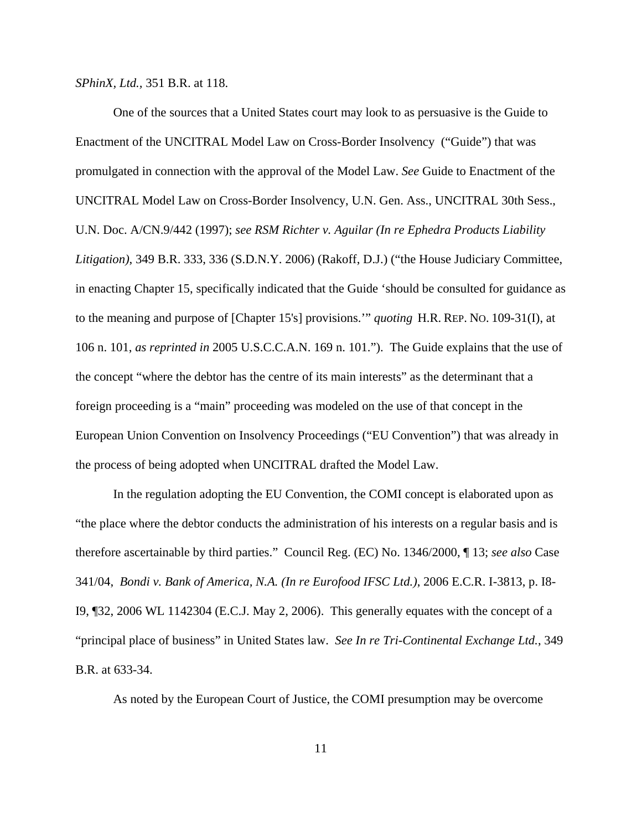*SPhinX, Ltd.,* 351 B.R. at 118.

One of the sources that a United States court may look to as persuasive is the Guide to Enactment of the UNCITRAL Model Law on Cross-Border Insolvency ("Guide") that was promulgated in connection with the approval of the Model Law. *See* Guide to Enactment of the UNCITRAL Model Law on Cross-Border Insolvency, U.N. Gen. Ass., UNCITRAL 30th Sess., U.N. Doc. A/CN.9/442 (1997); *see RSM Richter v. Aguilar (In re Ephedra Products Liability Litigation)*, 349 B.R. 333, 336 (S.D.N.Y. 2006) (Rakoff, D.J.) ("the House Judiciary Committee, in enacting Chapter 15, specifically indicated that the Guide 'should be consulted for guidance as to the meaning and purpose of [Chapter 15's] provisions.'" *quoting* H.R. REP. NO. 109-31(I), at 106 n. 101, *as reprinted in* 2005 U.S.C.C.A.N. 169 n. 101."). The Guide explains that the use of the concept "where the debtor has the centre of its main interests" as the determinant that a foreign proceeding is a "main" proceeding was modeled on the use of that concept in the European Union Convention on Insolvency Proceedings ("EU Convention") that was already in the process of being adopted when UNCITRAL drafted the Model Law.

In the regulation adopting the EU Convention, the COMI concept is elaborated upon as "the place where the debtor conducts the administration of his interests on a regular basis and is therefore ascertainable by third parties." Council Reg. (EC) No. 1346/2000, ¶ 13; *see also* Case 341/04, *Bondi v. Bank of America, N.A. (In re Eurofood IFSC Ltd.)*, 2006 E.C.R. I-3813, p. I8- I9, ¶32, 2006 WL 1142304 (E.C.J. May 2, 2006). This generally equates with the concept of a "principal place of business" in United States law. *See In re Tri-Continental Exchange Ltd.*, 349 B.R. at 633-34.

As noted by the European Court of Justice, the COMI presumption may be overcome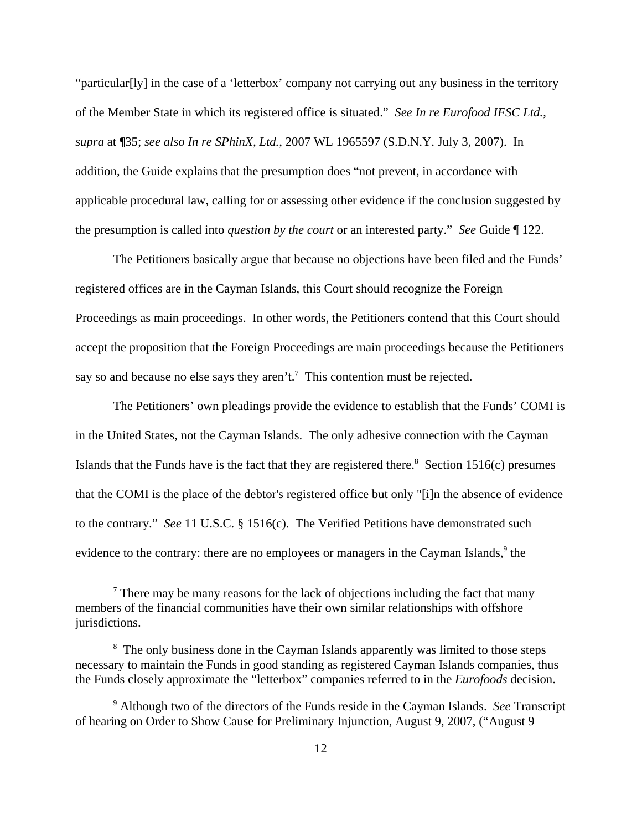"particular[ly] in the case of a 'letterbox' company not carrying out any business in the territory of the Member State in which its registered office is situated." *See In re Eurofood IFSC Ltd.*, *supra* at ¶35; *see also In re SPhinX, Ltd.*, 2007 WL 1965597 (S.D.N.Y. July 3, 2007). In addition, the Guide explains that the presumption does "not prevent, in accordance with applicable procedural law, calling for or assessing other evidence if the conclusion suggested by the presumption is called into *question by the court* or an interested party." *See* Guide ¶ 122.

The Petitioners basically argue that because no objections have been filed and the Funds' registered offices are in the Cayman Islands, this Court should recognize the Foreign Proceedings as main proceedings. In other words, the Petitioners contend that this Court should accept the proposition that the Foreign Proceedings are main proceedings because the Petitioners say so and because no else says they aren't.<sup>7</sup> This contention must be rejected.

The Petitioners' own pleadings provide the evidence to establish that the Funds' COMI is in the United States, not the Cayman Islands. The only adhesive connection with the Cayman Islands that the Funds have is the fact that they are registered there.<sup>8</sup> Section 1516(c) presumes that the COMI is the place of the debtor's registered office but only "[i]n the absence of evidence to the contrary." *See* 11 U.S.C. § 1516(c). The Verified Petitions have demonstrated such evidence to the contrary: there are no employees or managers in the Cayman Islands,<sup>9</sup> the

 $<sup>7</sup>$  There may be many reasons for the lack of objections including the fact that many</sup> members of the financial communities have their own similar relationships with offshore jurisdictions.

<sup>&</sup>lt;sup>8</sup> The only business done in the Cayman Islands apparently was limited to those steps necessary to maintain the Funds in good standing as registered Cayman Islands companies, thus the Funds closely approximate the "letterbox" companies referred to in the *Eurofoods* decision.

<sup>9</sup> Although two of the directors of the Funds reside in the Cayman Islands. *See* Transcript of hearing on Order to Show Cause for Preliminary Injunction, August 9, 2007, ("August 9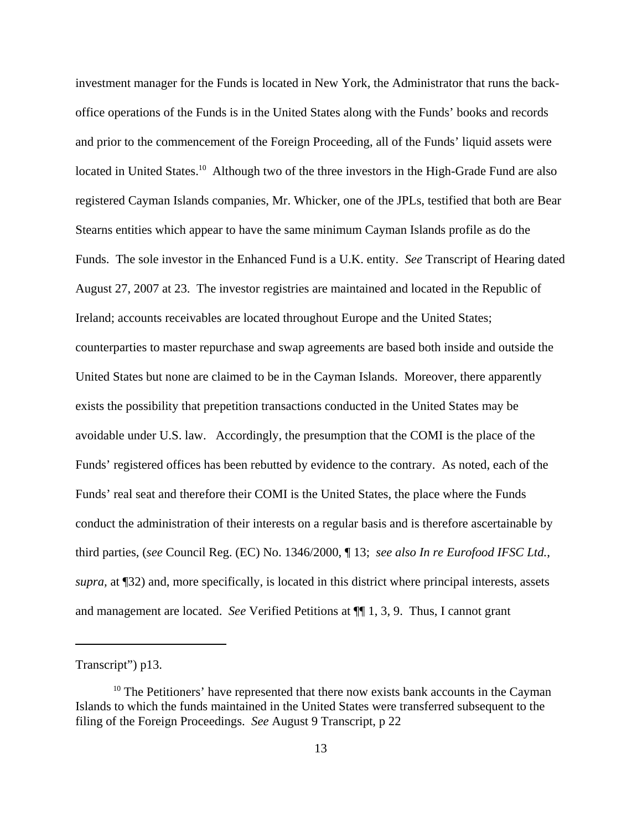investment manager for the Funds is located in New York, the Administrator that runs the backoffice operations of the Funds is in the United States along with the Funds' books and records and prior to the commencement of the Foreign Proceeding, all of the Funds' liquid assets were located in United States.<sup>10</sup> Although two of the three investors in the High-Grade Fund are also registered Cayman Islands companies, Mr. Whicker, one of the JPLs, testified that both are Bear Stearns entities which appear to have the same minimum Cayman Islands profile as do the Funds. The sole investor in the Enhanced Fund is a U.K. entity. *See* Transcript of Hearing dated August 27, 2007 at 23. The investor registries are maintained and located in the Republic of Ireland; accounts receivables are located throughout Europe and the United States; counterparties to master repurchase and swap agreements are based both inside and outside the United States but none are claimed to be in the Cayman Islands. Moreover, there apparently exists the possibility that prepetition transactions conducted in the United States may be avoidable under U.S. law. Accordingly, the presumption that the COMI is the place of the Funds' registered offices has been rebutted by evidence to the contrary. As noted, each of the Funds' real seat and therefore their COMI is the United States, the place where the Funds conduct the administration of their interests on a regular basis and is therefore ascertainable by third parties, (*see* Council Reg. (EC) No. 1346/2000, ¶ 13; *see also In re Eurofood IFSC Ltd.*, *supra,* at ¶32) and, more specifically, is located in this district where principal interests, assets and management are located. *See* Verified Petitions at ¶¶ 1, 3, 9. Thus, I cannot grant

Transcript") p13.

 $10$  The Petitioners' have represented that there now exists bank accounts in the Cayman Islands to which the funds maintained in the United States were transferred subsequent to the filing of the Foreign Proceedings. *See* August 9 Transcript, p 22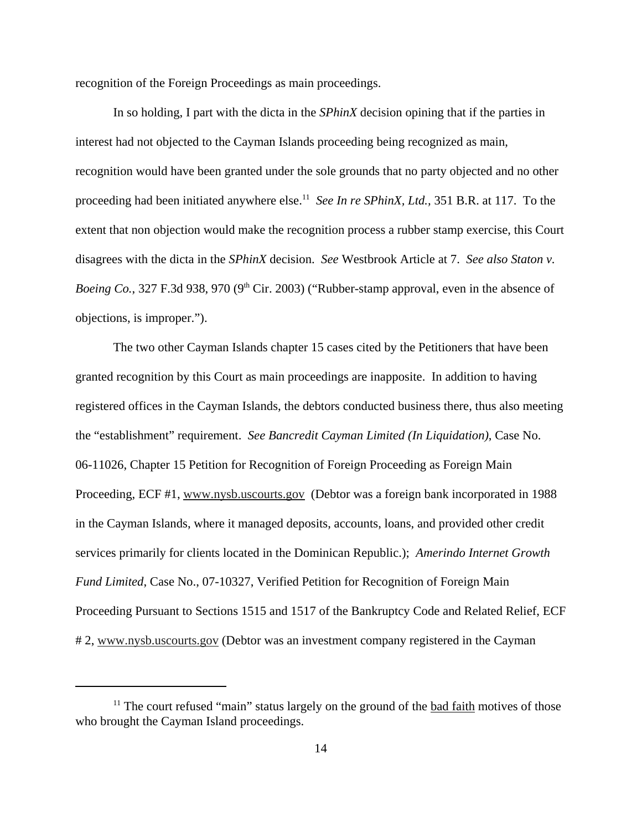recognition of the Foreign Proceedings as main proceedings.

In so holding, I part with the dicta in the *SPhinX* decision opining that if the parties in interest had not objected to the Cayman Islands proceeding being recognized as main, recognition would have been granted under the sole grounds that no party objected and no other proceeding had been initiated anywhere else.<sup>11</sup> *See In re SPhinX, Ltd.*, 351 B.R. at 117. To the extent that non objection would make the recognition process a rubber stamp exercise, this Court disagrees with the dicta in the *SPhinX* decision. *See* Westbrook Article at 7. *See also Staton v. Boeing Co.*, 327 F.3d 938, 970 (9<sup>th</sup> Cir. 2003) ("Rubber-stamp approval, even in the absence of objections, is improper.").

The two other Cayman Islands chapter 15 cases cited by the Petitioners that have been granted recognition by this Court as main proceedings are inapposite. In addition to having registered offices in the Cayman Islands, the debtors conducted business there, thus also meeting the "establishment" requirement. *See Bancredit Cayman Limited (In Liquidation)*, Case No. 06-11026, Chapter 15 Petition for Recognition of Foreign Proceeding as Foreign Main Proceeding, ECF #1, www.nysb.uscourts.gov (Debtor was a foreign bank incorporated in 1988) in the Cayman Islands, where it managed deposits, accounts, loans, and provided other credit services primarily for clients located in the Dominican Republic.); *Amerindo Internet Growth Fund Limited*, Case No., 07-10327, Verified Petition for Recognition of Foreign Main Proceeding Pursuant to Sections 1515 and 1517 of the Bankruptcy Code and Related Relief, ECF # 2, www.nysb.uscourts.gov (Debtor was an investment company registered in the Cayman

 $11$  The court refused "main" status largely on the ground of the bad faith motives of those who brought the Cayman Island proceedings.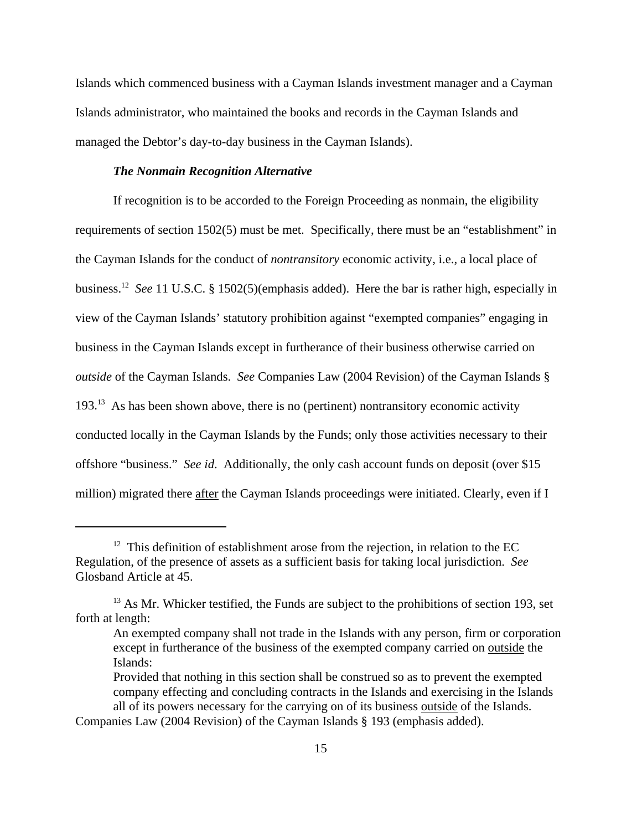Islands which commenced business with a Cayman Islands investment manager and a Cayman Islands administrator, who maintained the books and records in the Cayman Islands and managed the Debtor's day-to-day business in the Cayman Islands).

#### *The Nonmain Recognition Alternative*

If recognition is to be accorded to the Foreign Proceeding as nonmain, the eligibility requirements of section 1502(5) must be met. Specifically, there must be an "establishment" in the Cayman Islands for the conduct of *nontransitory* economic activity, i.e., a local place of business.12 *See* 11 U.S.C. § 1502(5)(emphasis added). Here the bar is rather high, especially in view of the Cayman Islands' statutory prohibition against "exempted companies" engaging in business in the Cayman Islands except in furtherance of their business otherwise carried on *outside* of the Cayman Islands. *See* Companies Law (2004 Revision) of the Cayman Islands §  $193<sup>13</sup>$  As has been shown above, there is no (pertinent) nontransitory economic activity conducted locally in the Cayman Islands by the Funds; only those activities necessary to their offshore "business." *See id*. Additionally, the only cash account funds on deposit (over \$15 million) migrated there after the Cayman Islands proceedings were initiated. Clearly, even if I

 $12$  This definition of establishment arose from the rejection, in relation to the EC Regulation, of the presence of assets as a sufficient basis for taking local jurisdiction. *See* Glosband Article at 45.

<sup>&</sup>lt;sup>13</sup> As Mr. Whicker testified, the Funds are subject to the prohibitions of section 193, set forth at length:

An exempted company shall not trade in the Islands with any person, firm or corporation except in furtherance of the business of the exempted company carried on outside the Islands:

Provided that nothing in this section shall be construed so as to prevent the exempted company effecting and concluding contracts in the Islands and exercising in the Islands all of its powers necessary for the carrying on of its business outside of the Islands.

Companies Law (2004 Revision) of the Cayman Islands § 193 (emphasis added).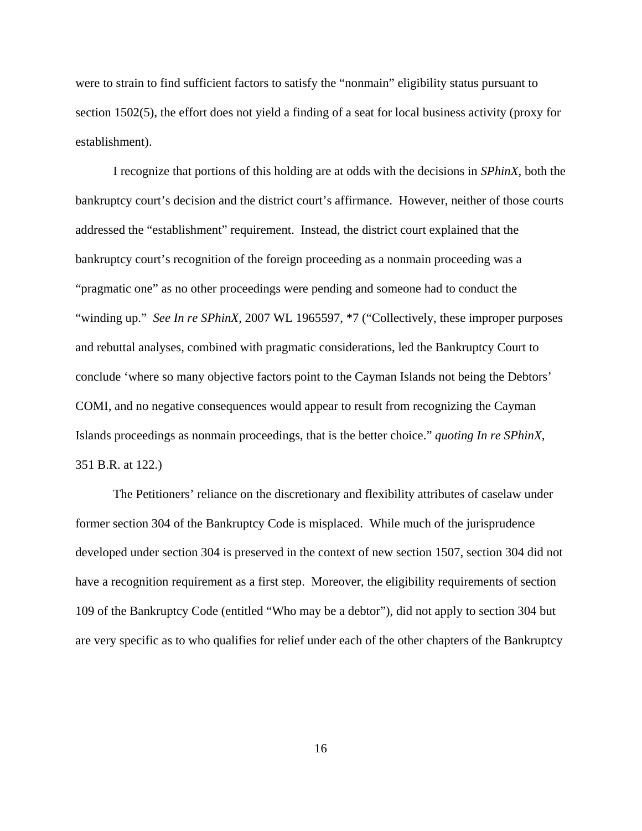were to strain to find sufficient factors to satisfy the "nonmain" eligibility status pursuant to section 1502(5), the effort does not yield a finding of a seat for local business activity (proxy for establishment).

I recognize that portions of this holding are at odds with the decisions in *SPhinX*, both the bankruptcy court's decision and the district court's affirmance. However, neither of those courts addressed the "establishment" requirement. Instead, the district court explained that the bankruptcy court's recognition of the foreign proceeding as a nonmain proceeding was a "pragmatic one" as no other proceedings were pending and someone had to conduct the "winding up." *See In re SPhinX*, 2007 WL 1965597, \*7 ("Collectively, these improper purposes" and rebuttal analyses, combined with pragmatic considerations, led the Bankruptcy Court to conclude 'where so many objective factors point to the Cayman Islands not being the Debtors' COMI, and no negative consequences would appear to result from recognizing the Cayman Islands proceedings as nonmain proceedings, that is the better choice." *quoting In re SPhinX,* 351 B.R. at 122.)

The Petitioners' reliance on the discretionary and flexibility attributes of caselaw under former section 304 of the Bankruptcy Code is misplaced. While much of the jurisprudence developed under section 304 is preserved in the context of new section 1507, section 304 did not have a recognition requirement as a first step. Moreover, the eligibility requirements of section 109 of the Bankruptcy Code (entitled "Who may be a debtor"), did not apply to section 304 but are very specific as to who qualifies for relief under each of the other chapters of the Bankruptcy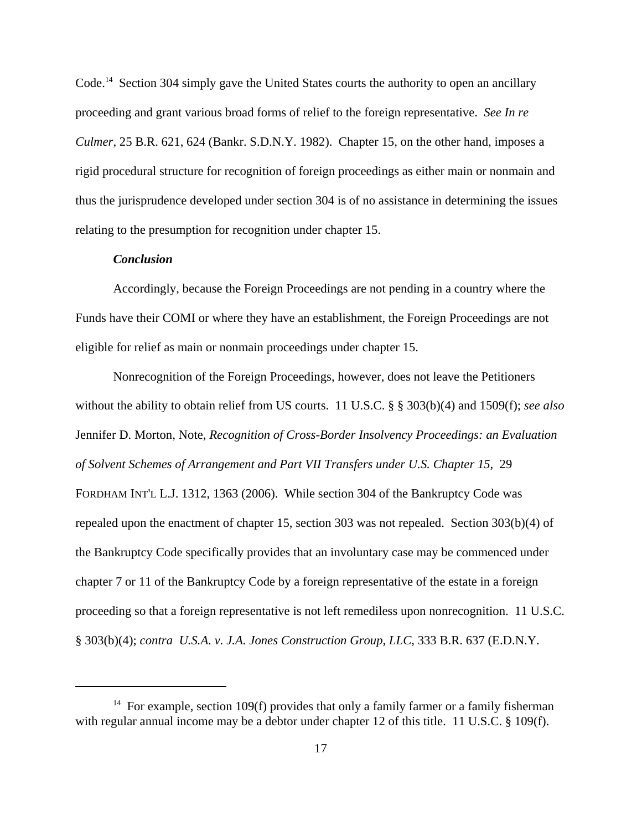Code.<sup>14</sup> Section 304 simply gave the United States courts the authority to open an ancillary proceeding and grant various broad forms of relief to the foreign representative. *See In re Culmer*, 25 B.R. 621, 624 (Bankr. S.D.N.Y. 1982). Chapter 15, on the other hand, imposes a rigid procedural structure for recognition of foreign proceedings as either main or nonmain and thus the jurisprudence developed under section 304 is of no assistance in determining the issues relating to the presumption for recognition under chapter 15.

## *Conclusion*

Accordingly, because the Foreign Proceedings are not pending in a country where the Funds have their COMI or where they have an establishment, the Foreign Proceedings are not eligible for relief as main or nonmain proceedings under chapter 15.

Nonrecognition of the Foreign Proceedings, however, does not leave the Petitioners without the ability to obtain relief from US courts. 11 U.S.C. § § 303(b)(4) and 1509(f); *see also* Jennifer D. Morton, Note, *Recognition of Cross-Border Insolvency Proceedings: an Evaluation of Solvent Schemes of Arrangement and Part VII Transfers under U.S. Chapter 15*, 29 FORDHAM INT'L L.J. 1312, 1363 (2006). While section 304 of the Bankruptcy Code was repealed upon the enactment of chapter 15, section 303 was not repealed. Section 303(b)(4) of the Bankruptcy Code specifically provides that an involuntary case may be commenced under chapter 7 or 11 of the Bankruptcy Code by a foreign representative of the estate in a foreign proceeding so that a foreign representative is not left remediless upon nonrecognition. 11 U.S.C. § 303(b)(4); *contra U.S.A. v. J.A. Jones Construction Group, LLC,* 333 B.R. 637 (E.D.N.Y.

<sup>&</sup>lt;sup>14</sup> For example, section 109(f) provides that only a family farmer or a family fisherman with regular annual income may be a debtor under chapter 12 of this title. 11 U.S.C. § 109(f).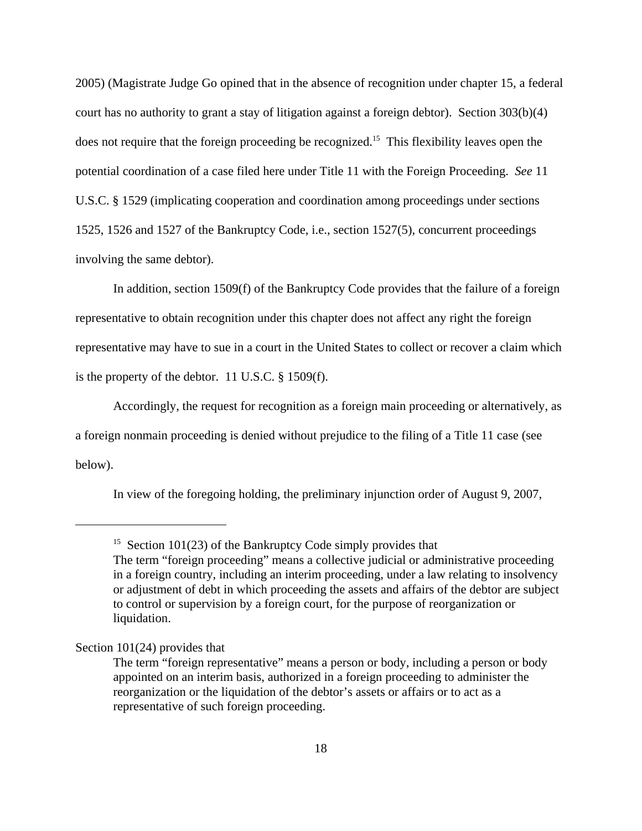2005) (Magistrate Judge Go opined that in the absence of recognition under chapter 15, a federal court has no authority to grant a stay of litigation against a foreign debtor). Section 303(b)(4) does not require that the foreign proceeding be recognized.<sup>15</sup> This flexibility leaves open the potential coordination of a case filed here under Title 11 with the Foreign Proceeding. *See* 11 U.S.C. § 1529 (implicating cooperation and coordination among proceedings under sections 1525, 1526 and 1527 of the Bankruptcy Code, i.e., section 1527(5), concurrent proceedings involving the same debtor).

In addition, section 1509(f) of the Bankruptcy Code provides that the failure of a foreign representative to obtain recognition under this chapter does not affect any right the foreign representative may have to sue in a court in the United States to collect or recover a claim which is the property of the debtor. 11 U.S.C. § 1509(f).

Accordingly, the request for recognition as a foreign main proceeding or alternatively, as a foreign nonmain proceeding is denied without prejudice to the filing of a Title 11 case (see below).

In view of the foregoing holding, the preliminary injunction order of August 9, 2007,

# Section 101(24) provides that

<sup>&</sup>lt;sup>15</sup> Section 101(23) of the Bankruptcy Code simply provides that The term "foreign proceeding" means a collective judicial or administrative proceeding in a foreign country, including an interim proceeding, under a law relating to insolvency or adjustment of debt in which proceeding the assets and affairs of the debtor are subject to control or supervision by a foreign court, for the purpose of reorganization or liquidation.

The term "foreign representative" means a person or body, including a person or body appointed on an interim basis, authorized in a foreign proceeding to administer the reorganization or the liquidation of the debtor's assets or affairs or to act as a representative of such foreign proceeding.